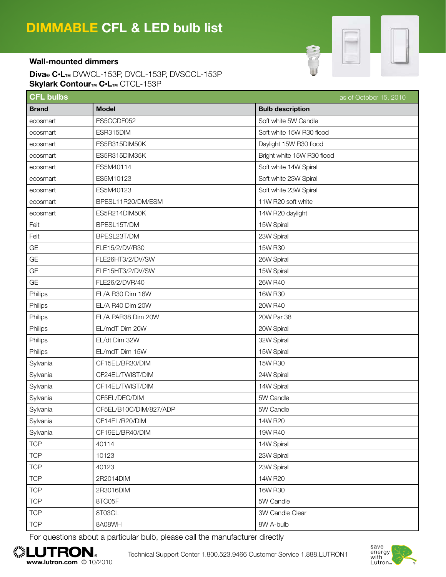

## Wall-mounted dimmers

Diva® C·LTM DVWCL-153P, DVCL-153P, DVSCCL-153P Skylark ContourTM C·LTM CTCL-153P

| <b>CFL bulbs</b> |                        | as of October 15, 2010     |
|------------------|------------------------|----------------------------|
| <b>Brand</b>     | <b>Model</b>           | <b>Bulb description</b>    |
| ecosmart         | ES5CCDF052             | Soft white 5W Candle       |
| ecosmart         | ESR315DIM              | Soft white 15W R30 flood   |
| ecosmart         | ES5R315DIM50K          | Daylight 15W R30 flood     |
| ecosmart         | ES5R315DIM35K          | Bright white 15W R30 flood |
| ecosmart         | ES5M40114              | Soft white 14W Spiral      |
| ecosmart         | ES5M10123              | Soft white 23W Spiral      |
| ecosmart         | ES5M40123              | Soft white 23W Spiral      |
| ecosmart         | BPESL11R20/DM/ESM      | 11W R20 soft white         |
| ecosmart         | ES5R214DIM50K          | 14W R20 daylight           |
| Feit             | BPESL15T/DM            | 15W Spiral                 |
| Feit             | BPESL23T/DM            | 23W Spiral                 |
| GE               | FLE15/2/DV/R30         | 15W R30                    |
| GE               | FLE26HT3/2/DV/SW       | 26W Spiral                 |
| GE               | FLE15HT3/2/DV/SW       | 15W Spiral                 |
| GE               | FLE26/2/DVR/40         | 26W R40                    |
| Philips          | EL/A R30 Dim 16W       | 16W R30                    |
| Philips          | EL/A R40 Dim 20W       | 20W R40                    |
| Philips          | EL/A PAR38 Dim 20W     | 20W Par 38                 |
| Philips          | EL/mdT Dim 20W         | 20W Spiral                 |
| Philips          | EL/dt Dim 32W          | 32W Spiral                 |
| Philips          | EL/mdT Dim 15W         | 15W Spiral                 |
| Sylvania         | CF15EL/BR30/DIM        | 15W R30                    |
| Sylvania         | CF24EL/TWIST/DIM       | 24W Spiral                 |
| Sylvania         | CF14EL/TWIST/DIM       | 14W Spiral                 |
| Sylvania         | CF5EL/DEC/DIM          | 5W Candle                  |
| Sylvania         | CF5EL/B10C/DIM/827/ADP | 5W Candle                  |
| Sylvania         | CF14EL/R20/DIM         | 14W R20                    |
| Sylvania         | CF19EL/BR40/DIM        | 19W R40                    |
| <b>TCP</b>       | 40114                  | 14W Spiral                 |
| <b>TCP</b>       | 10123                  | 23W Spiral                 |
| <b>TCP</b>       | 40123                  | 23W Spiral                 |
| <b>TCP</b>       | 2R2014DIM              | 14W R20                    |
| <b>TCP</b>       | 2R3016DIM              | 16W R30                    |
| <b>TCP</b>       | 8TC05F                 | 5W Candle                  |
| <b>TCP</b>       | 8T03CL                 | 3W Candle Clear            |
| <b>TCP</b>       | 8A08WH                 | 8W A-bulb                  |

For questions about a particular bulb, please call the manufacturer directly